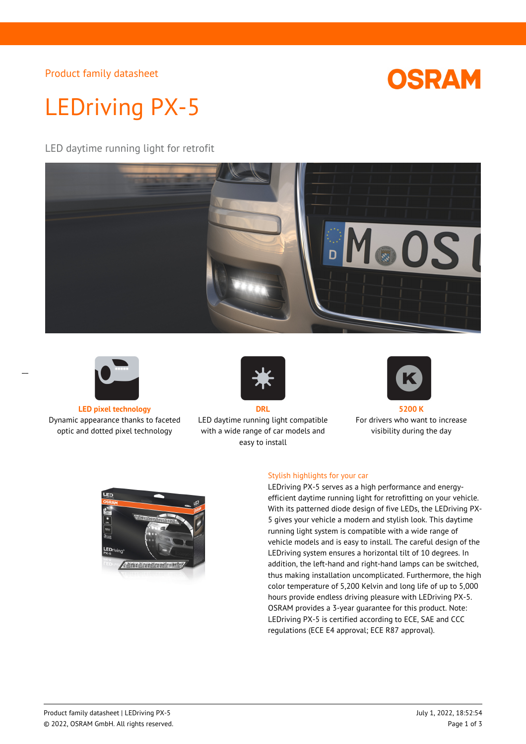Product family datasheet



# LEDriving PX-5

LED daytime running light for retrofit





 $\overline{a}$ 

**LED pixel technology DRL 5200 K** Dynamic appearance thanks to faceted optic and dotted pixel technology



LED daytime running light compatible with a wide range of car models and easy to install



For drivers who want to increase visibility during the day



#### Stylish highlights for your car

LEDriving PX-5 serves as a high performance and energyefficient daytime running light for retrofitting on your vehicle. With its patterned diode design of five LEDs, the LEDriving PX-5 gives your vehicle a modern and stylish look. This daytime running light system is compatible with a wide range of vehicle models and is easy to install. The careful design of the LEDriving system ensures a horizontal tilt of 10 degrees. In addition, the left-hand and right-hand lamps can be switched, thus making installation uncomplicated. Furthermore, the high color temperature of 5,200 Kelvin and long life of up to 5,000 hours provide endless driving pleasure with LEDriving PX-5. OSRAM provides a 3-year guarantee for this product. Note: LEDriving PX-5 is certified according to ECE, SAE and CCC regulations (ECE E4 approval; ECE R87 approval).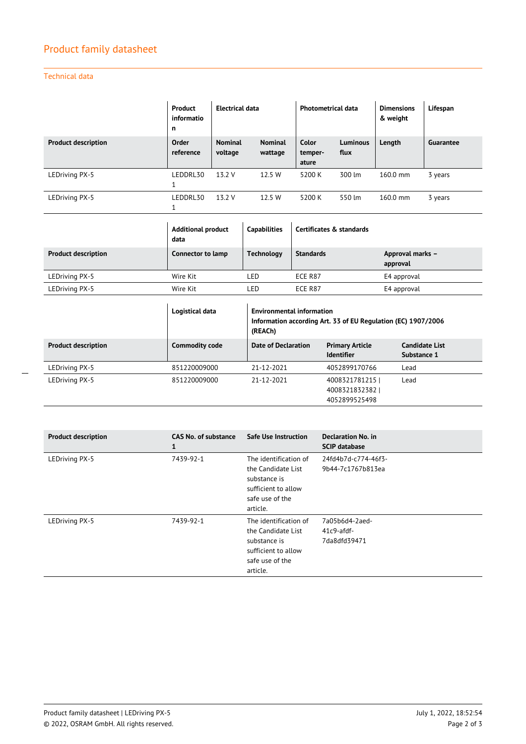## Product family datasheet

Technical data

|                            | Product<br>informatio<br>n | Electrical data           |                           | <b>Photometrical data</b> |                         | <b>Dimensions</b><br>& weight | Lifespan  |
|----------------------------|----------------------------|---------------------------|---------------------------|---------------------------|-------------------------|-------------------------------|-----------|
| <b>Product description</b> | Order<br>reference         | <b>Nominal</b><br>voltage | <b>Nominal</b><br>wattage | Color<br>temper-<br>ature | <b>Luminous</b><br>flux | Length                        | Guarantee |
| LEDriving PX-5             | LEDDRL30<br>1              | 13.2 V                    | 12.5 W                    | 5200 K                    | 300 lm                  | 160.0 mm                      | 3 years   |
| LEDriving PX-5             | LEDDRL30                   | 13.2 V                    | 12.5 W                    | 5200 K                    | 550 lm                  | 160.0 mm                      | 3 years   |

|                            | <b>Additional product</b><br>data | <b>Capabilities</b> | Certificates & standards |                              |  |
|----------------------------|-----------------------------------|---------------------|--------------------------|------------------------------|--|
| <b>Product description</b> | Connector to lamp                 | Technology          | <b>Standards</b>         | Approval marks -<br>approval |  |
| LEDriving PX-5             | Wire Kit                          | LED                 | ECE R87                  | E4 approval                  |  |
| LEDriving PX-5             | Wire Kit                          | LED                 | ECE R87                  | E4 approval                  |  |

|                            | Logistical data       | <b>Environmental information</b><br>Information according Art. 33 of EU Regulation (EC) 1907/2006<br>(REACh) |                                                 |                                      |  |
|----------------------------|-----------------------|--------------------------------------------------------------------------------------------------------------|-------------------------------------------------|--------------------------------------|--|
| <b>Product description</b> | <b>Commodity code</b> | Date of Declaration                                                                                          | <b>Primary Article</b><br><b>Identifier</b>     | <b>Candidate List</b><br>Substance 1 |  |
| LEDriving PX-5             | 851220009000          | 21-12-2021                                                                                                   | 4052899170766                                   | Lead                                 |  |
| LEDriving PX-5             | 851220009000          | 21-12-2021                                                                                                   | 4008321781215<br>4008321832382<br>4052899525498 | Lead                                 |  |

| <b>Product description</b> | <b>CAS No. of substance</b><br>1 | <b>Safe Use Instruction</b>                                                                                       | <b>Declaration No. in</b><br><b>SCIP database</b> |
|----------------------------|----------------------------------|-------------------------------------------------------------------------------------------------------------------|---------------------------------------------------|
| LEDriving PX-5             | 7439-92-1                        | The identification of<br>the Candidate List<br>substance is<br>sufficient to allow<br>safe use of the<br>article. | 24fd4b7d-c774-46f3-<br>9b44-7c1767b813ea          |
| LEDriving PX-5             | 7439-92-1                        | The identification of<br>the Candidate List<br>substance is<br>sufficient to allow<br>safe use of the<br>article. | 7a05b6d4-2aed-<br>$41c9$ -afdf-<br>7da8dfd39471   |